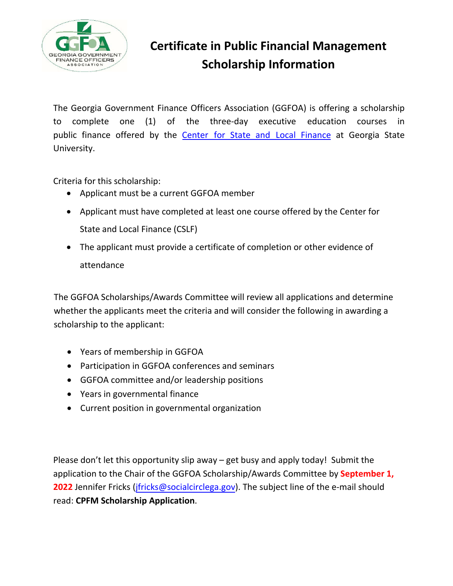

## **Certificate in Public Financial Management Scholarship Information**

The Georgia Government Finance Officers Association (GGFOA) is offering a scholarship to complete one (1) of the three-day executive education courses in public finance offered by the [Center for State and Local Finance](https://cslf.gsu.edu/executive-education-public-finance/) at Georgia State University.

Criteria for this scholarship:

- Applicant must be a current GGFOA member
- Applicant must have completed at least one course offered by the Center for State and Local Finance (CSLF)
- The applicant must provide a certificate of completion or other evidence of attendance

The GGFOA Scholarships/Awards Committee will review all applications and determine whether the applicants meet the criteria and will consider the following in awarding a scholarship to the applicant:

- Years of membership in GGFOA
- Participation in GGFOA conferences and seminars
- GGFOA committee and/or leadership positions
- Years in governmental finance
- Current position in governmental organization

Please don't let this opportunity slip away – get busy and apply today! Submit the application to the Chair of the GGFOA Scholarship/Awards Committee by **September 1, 2022** Jennifer Fricks (*jfricks@socialcirclega.gov*). The subject line of the e-mail should read: **CPFM Scholarship Application**.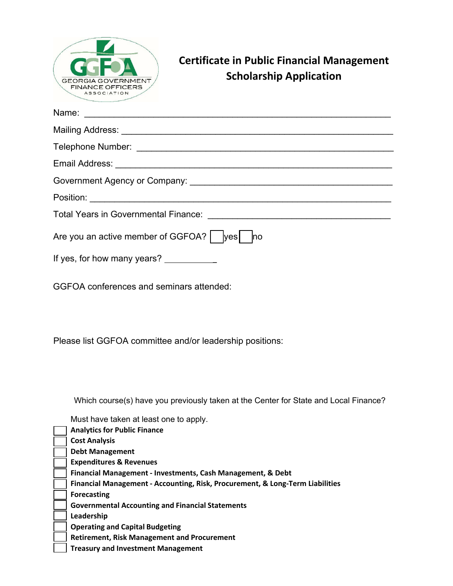| <b>Certificate in Public Financial Management</b><br><b>Scholarship Application</b><br>FINANCE OFFICERS<br><b>ASSOCIATION</b>                                                                                                                                                                                                |
|------------------------------------------------------------------------------------------------------------------------------------------------------------------------------------------------------------------------------------------------------------------------------------------------------------------------------|
| Name:                                                                                                                                                                                                                                                                                                                        |
|                                                                                                                                                                                                                                                                                                                              |
|                                                                                                                                                                                                                                                                                                                              |
|                                                                                                                                                                                                                                                                                                                              |
|                                                                                                                                                                                                                                                                                                                              |
|                                                                                                                                                                                                                                                                                                                              |
| <b>Total Years in Governmental Finance:</b><br><u> 1989 - Johann John Stone, mars eta bainar eta baina eta erroman eta baina eta baina eta baina eta baina eta </u>                                                                                                                                                          |
| Are you an active member of GGFOA? $\vert$   yes<br>$\overline{\text{no}}$                                                                                                                                                                                                                                                   |
| If yes, for how many years? _____________                                                                                                                                                                                                                                                                                    |
| GGFOA conferences and seminars attended:                                                                                                                                                                                                                                                                                     |
| Please list GGFOA committee and/or leadership positions:                                                                                                                                                                                                                                                                     |
| Which course(s) have you previously taken at the Center for State and Local Finance?<br>Must have taken at least one to apply.<br><b>Analytics for Public Finance</b><br><b>Cost Analysis</b><br><b>Debt Management</b><br><b>Expenditures &amp; Revenues</b><br>Financial Management - Investments, Cash Management, & Debt |
| Financial Management - Accounting, Risk, Procurement, & Long-Term Liabilities<br><b>Forecasting</b>                                                                                                                                                                                                                          |

**Governmental Accounting and Financial Statements** 

**Leadership**

**Operating and Capital Budgeting**

**Retirement, Risk Management and Procurement** 

**Treasury and Investment Management**